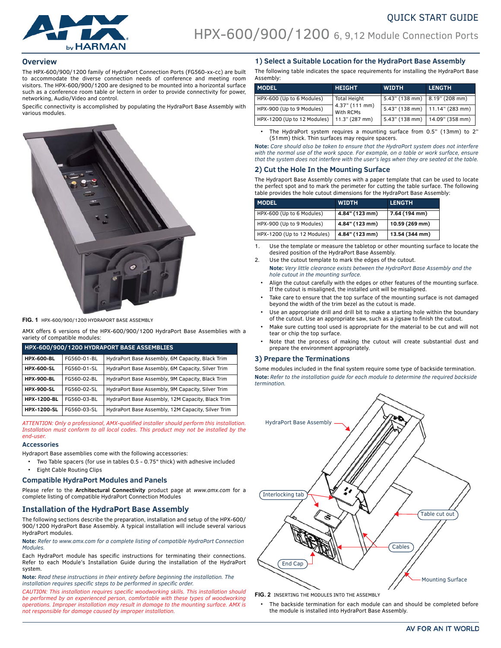

## **Overview**

The HPX-600/900/1200 family of HydraPort Connection Ports (FG560-xx-cc) are built to accommodate the diverse connection needs of conference and meeting room visitors. The HPX-600/900/1200 are designed to be mounted into a horizontal surface such as a conference room table or lectern in order to provide connectivity for power, networking, Audio/Video and control.

Specific connectivity is accomplished by populating the HydraPort Base Assembly with various modules.



**FIG. 1** HPX-600/900/1200 HYDRAPORT BASE ASSEMBLY

AMX offers 6 versions of the HPX-600/900/1200 HydraPort Base Assemblies with a variety of compatible modules:

| HPX-600/900/1200 HYDRAPORT BASE ASSEMBLIES |             |                                                    |  |  |
|--------------------------------------------|-------------|----------------------------------------------------|--|--|
| <b>HPX-600-BL</b>                          | FG560-01-BL | HydraPort Base Assembly, 6M Capacity, Black Trim   |  |  |
| <b>HPX-600-SL</b>                          | FG560-01-SL | HydraPort Base Assembly, 6M Capacity, Silver Trim  |  |  |
| <b>HPX-900-BL</b>                          | FG560-02-BL | HydraPort Base Assembly, 9M Capacity, Black Trim   |  |  |
| <b>HPX-900-SL</b>                          | FG560-02-SL | HydraPort Base Assembly, 9M Capacity, Silver Trim  |  |  |
| <b>HPX-1200-BL</b>                         | FG560-03-BL | HydraPort Base Assembly, 12M Capacity, Black Trim  |  |  |
| <b>HPX-1200-SL</b>                         | FG560-03-SL | HydraPort Base Assembly, 12M Capacity, Silver Trim |  |  |

*ATTENTION: Only a professional, AMX-qualified installer should perform this installation. Installation must conform to all local codes. This product may not be installed by the end-user.*

#### **Accessories**

Hydraport Base assemblies come with the following accessories:

- Two Table spacers (for use in tables 0.5 0.75" thick) with adhesive included
- Eight Cable Routing Clips

#### **Compatible HydraPort Modules and Panels**

Please refer to the **Architectural Connectivity** product page at *www.amx.com* for a complete listing of compatible HydraPort Connection Modules

## **Installation of the HydraPort Base Assembly**

The following sections describe the preparation, installation and setup of the HPX-600/ 900/1200 HydraPort Base Assembly. A typical installation will include several various HydraPort modules.

**Note:** *Refer to www.amx.com for a complete listing of compatible HydraPort Connection Modules.*

Each HydraPort module has specific instructions for terminating their connections. Refer to each Module's Installation Guide during the installation of the HydraPort system.

**Note:** *Read these instructions in their entirety before beginning the installation. The installation requires specific steps to be performed in specific order.*

*CAUTION: This installation requires specific woodworking skills. This installation should be performed by an experienced person, comfortable with these types of woodworking operations. Improper installation may result in damage to the mounting surface. AMX is not responsible for damage caused by improper installation.*

## **1) Select a Suitable Location for the HydraPort Base Assembly**

The following table indicates the space requirements for installing the HydraPort Base Assembly:

| <b>MODEL</b>                | <b>HEIGHT</b>               | <b>WIDTH</b>                    | <b>LENGTH</b>                    |
|-----------------------------|-----------------------------|---------------------------------|----------------------------------|
| HPX-600 (Up to 6 Modules)   | <b>Total Height</b>         | 5.43" (138 mm)   8.19" (208 mm) |                                  |
| HPX-900 (Up to 9 Modules)   | 4.37" (111 mm)<br>With RCMs |                                 | 5.43" (138 mm)   11.14" (283 mm) |
| HPX-1200 (Up to 12 Modules) | 11.3" (287 mm)              | 5.43" (138 mm)                  | $14.09$ " (358 mm)               |

• The HydraPort system requires a mounting surface from 0.5" (13mm) to 2" (51mm) thick. Thin surfaces may require spacers.

**Note:** *Care should also be taken to ensure that the HydraPort system does not interfere with the normal use of the work space. For example, on a table or work surface, ensure that the system does not interfere with the user's legs when they are seated at the table.*

## **2) Cut the Hole In the Mounting Surface**

The Hydraport Base Assembly comes with a paper template that can be used to locate the perfect spot and to mark the perimeter for cutting the table surface. The following table provides the hole cutout dimensions for the HydraPort Base Assembly:

| <b>MODEL</b>                | <b>WIDTH</b>   | <b>LENGTH</b>  |
|-----------------------------|----------------|----------------|
| HPX-600 (Up to 6 Modules)   | 4.84" (123 mm) | 7.64 (194 mm)  |
| HPX-900 (Up to 9 Modules)   | 4.84" (123 mm) | 10.59 (269 mm) |
| HPX-1200 (Up to 12 Modules) | 4.84" (123 mm) | 13.54 (344 mm) |

- 1. Use the template or measure the tabletop or other mounting surface to locate the desired position of the HydraPort Base Assembly.
- 2. Use the cutout template to mark the edges of the cutout. **Note:** *Very little clearance exists between the HydraPort Base Assembly and the hole cutout in the mounting surface.*
	- Align the cutout carefully with the edges or other features of the mounting surface. If the cutout is misaligned, the installed unit will be misaligned.
	- Take care to ensure that the top surface of the mounting surface is not damaged beyond the width of the trim bezel as the cutout is made.
	- Use an appropriate drill and drill bit to make a starting hole within the boundary of the cutout. Use an appropriate saw, such as a jigsaw to finish the cutout.
	- Make sure cutting tool used is appropriate for the material to be cut and will not tear or chip the top surface.
	- Note that the process of making the cutout will create substantial dust and prepare the environment appropriately.

## **3) Prepare the Terminations**

Some modules included in the final system require some type of backside termination. **Note:** *Refer to the installation guide for each module to determine the required backside termination.*



**FIG. 2** INSERTING THE MODULES INTO THE ASSEMBLY

The backside termination for each module can and should be completed before the module is installed into HydraPort Base Assembly.